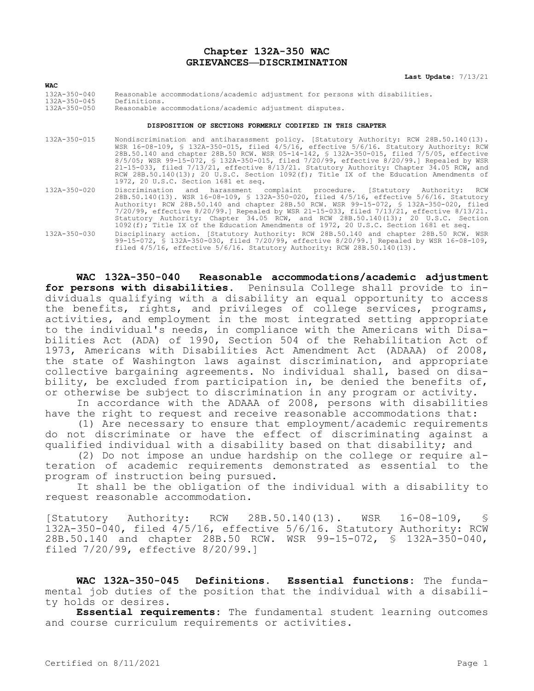### **Chapter 132A-350 WAC GRIEVANCES—DISCRIMINATION**

**Last Update:** 7/13/21

| <b>WAC</b>                               |                                                                                              |
|------------------------------------------|----------------------------------------------------------------------------------------------|
| $132A - 350 - 040$<br>$132A - 350 - 045$ | Reasonable accommodations/academic adjustment for persons with disabilities.<br>Definitions. |
| 132A-350-050                             | Reasonable accommodations/academic adjustment disputes.                                      |
|                                          |                                                                                              |

#### **DISPOSITION OF SECTIONS FORMERLY CODIFIED IN THIS CHAPTER**

- 132A-350-015 Nondiscrimination and antiharassment policy. [Statutory Authority: RCW 28B.50.140(13). WSR 16-08-109, § 132A-350-015, filed 4/5/16, effective 5/6/16. Statutory Authority: RCW 28B.50.140 and chapter 28B.50 RCW. WSR 05-14-142, § 132A-350-015, filed 7/5/05, effective 8/5/05; WSR 99-15-072, § 132A-350-015, filed 7/20/99, effective 8/20/99.] Repealed by WSR 21-15-033, filed 7/13/21, effective 8/13/21. Statutory Authority: Chapter 34.05 RCW, and RCW 28B.50.140(13); 20 U.S.C. Section 1092(f); Title IX of the Education Amendments of 1972, 20 U.S.C. Section 1681 et seq. 132A-350-020 Discrimination and harassment complaint procedure. [Statutory Authority: RCW 28B.50.140(13). WSR 16-08-109, § 132A-350-020, filed 4/5/16, effective 5/6/16. Statutory
- 7/20/99, effective 8/20/99.] Repealed by WSR 21-15-033, filed 7/13/21, effective 8/13/21. Statutory Authority: Chapter 34.05 RCW, and RCW 28B.50.140(13); 20 U.S.C. Section 1092(f); Title IX of the Education Amendments of 1972, 20 U.S.C. Section 1681 et seq. 132A-350-030 Disciplinary action. [Statutory Authority: RCW 28B.50.140 and chapter 28B.50 RCW. WSR 99-15-072, § 132A-350-030, filed 7/20/99, effective 8/20/99.] Repealed by WSR 16-08-109, filed  $4/5/16$ , effective  $5/6/16$ . Statutory Authority: RCW 28B.50.140(13).

Authority: RCW 28B.50.140 and chapter 28B.50 RCW. WSR 99-15-072, § 132A-350-020, filed

**WAC 132A-350-040 Reasonable accommodations/academic adjustment for persons with disabilities.** Peninsula College shall provide to individuals qualifying with a disability an equal opportunity to access the benefits, rights, and privileges of college services, programs, activities, and employment in the most integrated setting appropriate to the individual's needs, in compliance with the Americans with Disabilities Act (ADA) of 1990, Section 504 of the Rehabilitation Act of 1973, Americans with Disabilities Act Amendment Act (ADAAA) of 2008, the state of Washington laws against discrimination, and appropriate collective bargaining agreements. No individual shall, based on disability, be excluded from participation in, be denied the benefits of, or otherwise be subject to discrimination in any program or activity.

In accordance with the ADAAA of 2008, persons with disabilities have the right to request and receive reasonable accommodations that:

(1) Are necessary to ensure that employment/academic requirements do not discriminate or have the effect of discriminating against a qualified individual with a disability based on that disability; and

(2) Do not impose an undue hardship on the college or require alteration of academic requirements demonstrated as essential to the program of instruction being pursued.

It shall be the obligation of the individual with a disability to request reasonable accommodation.

[Statutory Authority: RCW 28B.50.140(13). WSR 16-08-109, § 132A-350-040, filed 4/5/16, effective 5/6/16. Statutory Authority: RCW 28B.50.140 and chapter 28B.50 RCW. WSR 99-15-072, § 132A-350-040, filed 7/20/99, effective 8/20/99.]

**WAC 132A-350-045 Definitions. Essential functions:** The fundamental job duties of the position that the individual with a disability holds or desires.

**Essential requirements:** The fundamental student learning outcomes and course curriculum requirements or activities.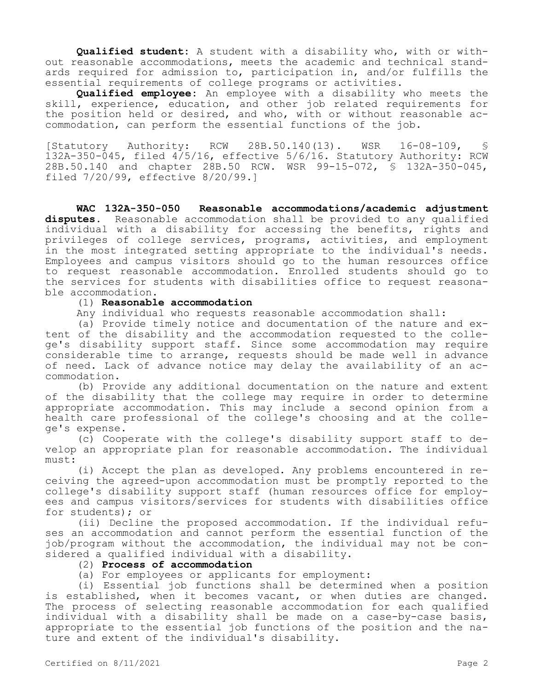**Qualified student:** A student with a disability who, with or without reasonable accommodations, meets the academic and technical standards required for admission to, participation in, and/or fulfills the essential requirements of college programs or activities.

**Qualified employee:** An employee with a disability who meets the skill, experience, education, and other job related requirements for the position held or desired, and who, with or without reasonable accommodation, can perform the essential functions of the job.

[Statutory Authority: RCW 28B.50.140(13). WSR 16-08-109, § 132A-350-045, filed 4/5/16, effective 5/6/16. Statutory Authority: RCW 28B.50.140 and chapter 28B.50 RCW. WSR 99-15-072, § 132A-350-045, filed 7/20/99, effective 8/20/99.]

**WAC 132A-350-050 Reasonable accommodations/academic adjustment disputes.** Reasonable accommodation shall be provided to any qualified individual with a disability for accessing the benefits, rights and privileges of college services, programs, activities, and employment in the most integrated setting appropriate to the individual's needs. Employees and campus visitors should go to the human resources office to request reasonable accommodation. Enrolled students should go to the services for students with disabilities office to request reasonable accommodation.

# (1) **Reasonable accommodation**

Any individual who requests reasonable accommodation shall:

(a) Provide timely notice and documentation of the nature and extent of the disability and the accommodation requested to the college's disability support staff. Since some accommodation may require considerable time to arrange, requests should be made well in advance of need. Lack of advance notice may delay the availability of an accommodation.

(b) Provide any additional documentation on the nature and extent of the disability that the college may require in order to determine appropriate accommodation. This may include a second opinion from a health care professional of the college's choosing and at the college's expense.

(c) Cooperate with the college's disability support staff to develop an appropriate plan for reasonable accommodation. The individual must:

(i) Accept the plan as developed. Any problems encountered in receiving the agreed-upon accommodation must be promptly reported to the college's disability support staff (human resources office for employees and campus visitors/services for students with disabilities office for students); or

(ii) Decline the proposed accommodation. If the individual refuses an accommodation and cannot perform the essential function of the job/program without the accommodation, the individual may not be considered a qualified individual with a disability.

#### (2) **Process of accommodation**

(a) For employees or applicants for employment:

(i) Essential job functions shall be determined when a position is established, when it becomes vacant, or when duties are changed. The process of selecting reasonable accommodation for each qualified individual with a disability shall be made on a case-by-case basis, appropriate to the essential job functions of the position and the nature and extent of the individual's disability.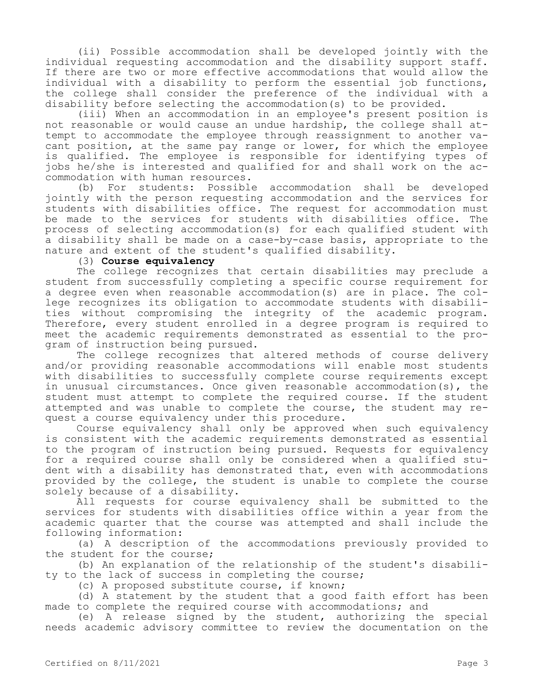(ii) Possible accommodation shall be developed jointly with the individual requesting accommodation and the disability support staff. If there are two or more effective accommodations that would allow the individual with a disability to perform the essential job functions, the college shall consider the preference of the individual with a disability before selecting the accommodation(s) to be provided.

(iii) When an accommodation in an employee's present position is not reasonable or would cause an undue hardship, the college shall attempt to accommodate the employee through reassignment to another vacant position, at the same pay range or lower, for which the employee is qualified. The employee is responsible for identifying types of jobs he/she is interested and qualified for and shall work on the accommodation with human resources.

(b) For students: Possible accommodation shall be developed jointly with the person requesting accommodation and the services for students with disabilities office. The request for accommodation must be made to the services for students with disabilities office. The process of selecting accommodation(s) for each qualified student with a disability shall be made on a case-by-case basis, appropriate to the nature and extent of the student's qualified disability.

# (3) **Course equivalency**

The college recognizes that certain disabilities may preclude a student from successfully completing a specific course requirement for a degree even when reasonable accommodation(s) are in place. The college recognizes its obligation to accommodate students with disabilities without compromising the integrity of the academic program. Therefore, every student enrolled in a degree program is required to meet the academic requirements demonstrated as essential to the program of instruction being pursued.

The college recognizes that altered methods of course delivery and/or providing reasonable accommodations will enable most students with disabilities to successfully complete course requirements except in unusual circumstances. Once given reasonable accommodation(s), the student must attempt to complete the required course. If the student attempted and was unable to complete the course, the student may request a course equivalency under this procedure.

Course equivalency shall only be approved when such equivalency is consistent with the academic requirements demonstrated as essential to the program of instruction being pursued. Requests for equivalency for a required course shall only be considered when a qualified student with a disability has demonstrated that, even with accommodations provided by the college, the student is unable to complete the course solely because of a disability.

All requests for course equivalency shall be submitted to the services for students with disabilities office within a year from the academic quarter that the course was attempted and shall include the following information:

(a) A description of the accommodations previously provided to the student for the course;

(b) An explanation of the relationship of the student's disability to the lack of success in completing the course;

(c) A proposed substitute course, if known;

(d) A statement by the student that a good faith effort has been made to complete the required course with accommodations; and

(e) A release signed by the student, authorizing the special needs academic advisory committee to review the documentation on the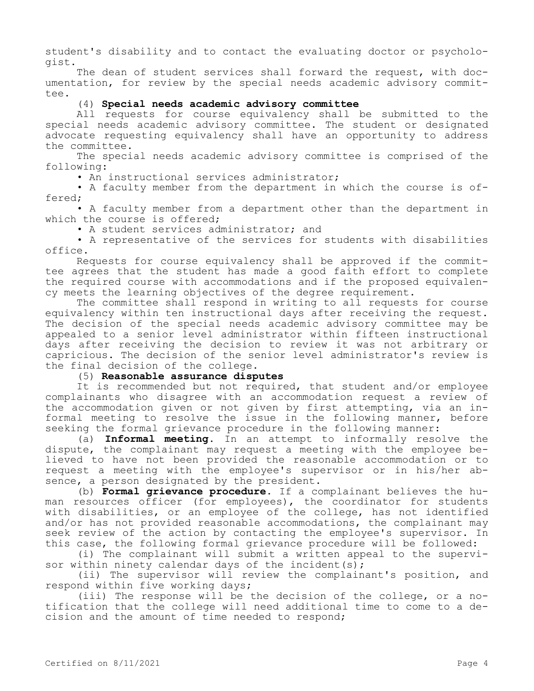student's disability and to contact the evaluating doctor or psychologist.

The dean of student services shall forward the request, with documentation, for review by the special needs academic advisory committee.

# (4) **Special needs academic advisory committee**

All requests for course equivalency shall be submitted to the special needs academic advisory committee. The student or designated advocate requesting equivalency shall have an opportunity to address the committee.

The special needs academic advisory committee is comprised of the following:

• An instructional services administrator;

• A faculty member from the department in which the course is offered;

• A faculty member from a department other than the department in which the course is offered:

• A student services administrator; and

• A representative of the services for students with disabilities office.

Requests for course equivalency shall be approved if the committee agrees that the student has made a good faith effort to complete the required course with accommodations and if the proposed equivalency meets the learning objectives of the degree requirement.

The committee shall respond in writing to all requests for course equivalency within ten instructional days after receiving the request. The decision of the special needs academic advisory committee may be appealed to a senior level administrator within fifteen instructional days after receiving the decision to review it was not arbitrary or capricious. The decision of the senior level administrator's review is the final decision of the college.

(5) **Reasonable assurance disputes**

It is recommended but not required, that student and/or employee complainants who disagree with an accommodation request a review of the accommodation given or not given by first attempting, via an informal meeting to resolve the issue in the following manner, before seeking the formal grievance procedure in the following manner:

(a) **Informal meeting.** In an attempt to informally resolve the dispute, the complainant may request a meeting with the employee believed to have not been provided the reasonable accommodation or to request a meeting with the employee's supervisor or in his/her absence, a person designated by the president.

(b) **Formal grievance procedure.** If a complainant believes the human resources officer (for employees), the coordinator for students with disabilities, or an employee of the college, has not identified and/or has not provided reasonable accommodations, the complainant may seek review of the action by contacting the employee's supervisor. In this case, the following formal grievance procedure will be followed:

(i) The complainant will submit a written appeal to the supervisor within ninety calendar days of the incident  $(s)$ ;

(ii) The supervisor will review the complainant's position, and respond within five working days;

(iii) The response will be the decision of the college, or a notification that the college will need additional time to come to a decision and the amount of time needed to respond;